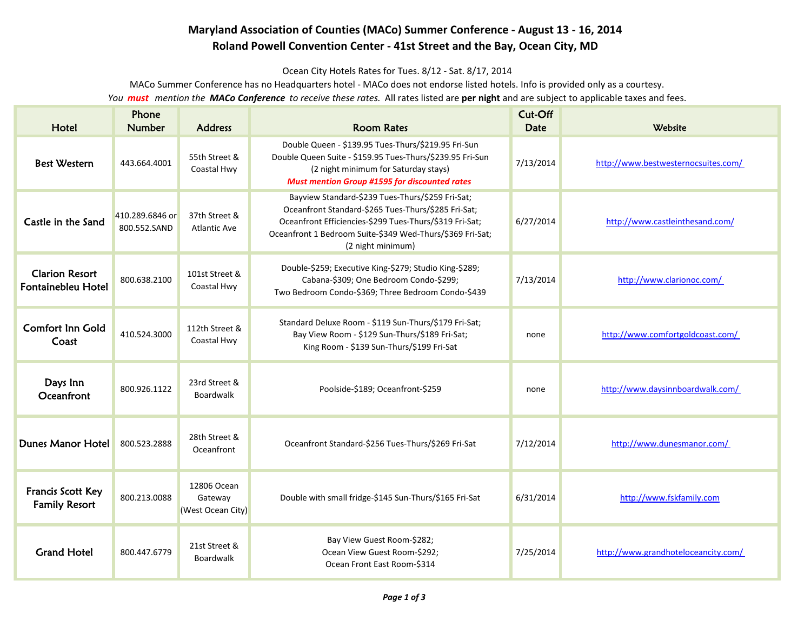## **Maryland Association of Counties (MACo) Summer Conference - August 13 - 16, 2014 Roland Powell Convention Center - 41st Street and the Bay, Ocean City, MD**

Ocean City Hotels Rates for Tues. 8/12 - Sat. 8/17, 2014

MACo Summer Conference has no Headquarters hotel - MACo does not endorse listed hotels. Info is provided only as a courtesy.

You *must* mention the **MACo Conference** to receive these rates. All rates listed are **per night** and are subject to applicable taxes and fees.

| Hotel                                       | Phone<br><b>Number</b>          | <b>Address</b>                              | <b>Room Rates</b>                                                                                                                                                                                                                                    | Cut-Off<br><b>Date</b> | Website                             |
|---------------------------------------------|---------------------------------|---------------------------------------------|------------------------------------------------------------------------------------------------------------------------------------------------------------------------------------------------------------------------------------------------------|------------------------|-------------------------------------|
| <b>Best Western</b>                         | 443.664.4001                    | 55th Street &<br>Coastal Hwy                | Double Queen - \$139.95 Tues-Thurs/\$219.95 Fri-Sun<br>Double Queen Suite - \$159.95 Tues-Thurs/\$239.95 Fri-Sun<br>(2 night minimum for Saturday stays)<br><b>Must mention Group #1595 for discounted rates</b>                                     | 7/13/2014              | http://www.bestwesternocsuites.com/ |
| Castle in the Sand                          | 410.289.6846 or<br>800.552.SAND | 37th Street &<br><b>Atlantic Ave</b>        | Bayview Standard-\$239 Tues-Thurs/\$259 Fri-Sat;<br>Oceanfront Standard-\$265 Tues-Thurs/\$285 Fri-Sat;<br>Oceanfront Efficiencies-\$299 Tues-Thurs/\$319 Fri-Sat;<br>Oceanfront 1 Bedroom Suite-\$349 Wed-Thurs/\$369 Fri-Sat;<br>(2 night minimum) | 6/27/2014              | http://www.castleinthesand.com/     |
| <b>Clarion Resort</b><br>Fontainebleu Hotel | 800.638.2100                    | 101st Street &<br>Coastal Hwy               | Double-\$259; Executive King-\$279; Studio King-\$289;<br>Cabana-\$309; One Bedroom Condo-\$299;<br>Two Bedroom Condo-\$369; Three Bedroom Condo-\$439                                                                                               | 7/13/2014              | http://www.clarionoc.com/           |
| <b>Comfort Inn Gold</b><br>Coast            | 410.524.3000                    | 112th Street &<br>Coastal Hwy               | Standard Deluxe Room - \$119 Sun-Thurs/\$179 Fri-Sat;<br>Bay View Room - \$129 Sun-Thurs/\$189 Fri-Sat;<br>King Room - \$139 Sun-Thurs/\$199 Fri-Sat                                                                                                 | none                   | http://www.comfortgoldcoast.com/    |
| Days Inn<br>Oceanfront                      | 800.926.1122                    | 23rd Street &<br>Boardwalk                  | Poolside-\$189; Oceanfront-\$259                                                                                                                                                                                                                     | none                   | http://www.daysinnboardwalk.com/    |
| Dunes Manor Hotel                           | 800.523.2888                    | 28th Street &<br>Oceanfront                 | Oceanfront Standard-\$256 Tues-Thurs/\$269 Fri-Sat                                                                                                                                                                                                   | 7/12/2014              | http://www.dunesmanor.com/          |
| Francis Scott Key<br><b>Family Resort</b>   | 800.213.0088                    | 12806 Ocean<br>Gateway<br>(West Ocean City) | Double with small fridge-\$145 Sun-Thurs/\$165 Fri-Sat                                                                                                                                                                                               | 6/31/2014              | http://www.fskfamily.com            |
| <b>Grand Hotel</b>                          | 800.447.6779                    | 21st Street &<br>Boardwalk                  | Bay View Guest Room-\$282;<br>Ocean View Guest Room-\$292;<br>Ocean Front East Room-\$314                                                                                                                                                            | 7/25/2014              | http://www.grandhoteloceancity.com/ |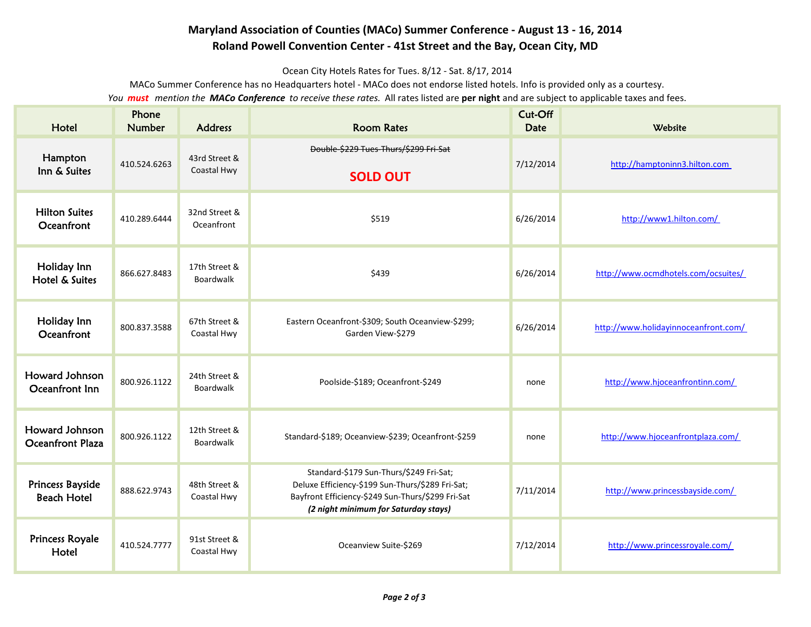## **Maryland Association of Counties (MACo) Summer Conference - August 13 - 16, 2014 Roland Powell Convention Center - 41st Street and the Bay, Ocean City, MD**

Ocean City Hotels Rates for Tues. 8/12 - Sat. 8/17, 2014

MACo Summer Conference has no Headquarters hotel - MACo does not endorse listed hotels. Info is provided only as a courtesy.

You *must* mention the **MACo Conference** to receive these rates. All rates listed are **per night** and are subject to applicable taxes and fees.

| Hotel                                         | Phone<br><b>Number</b> | <b>Address</b>               | <b>Room Rates</b>                                                                                                                                                                        | Cut-Off<br><b>Date</b> | Website                              |
|-----------------------------------------------|------------------------|------------------------------|------------------------------------------------------------------------------------------------------------------------------------------------------------------------------------------|------------------------|--------------------------------------|
| Hampton<br>Inn & Suites                       | 410.524.6263           | 43rd Street &<br>Coastal Hwy | Double-\$229 Tues-Thurs/\$299 Fri-Sat<br><b>SOLD OUT</b>                                                                                                                                 | 7/12/2014              | http://hamptoninn3.hilton.com        |
| <b>Hilton Suites</b><br>Oceanfront            | 410.289.6444           | 32nd Street &<br>Oceanfront  | \$519                                                                                                                                                                                    | 6/26/2014              | http://www1.hilton.com/              |
| Holiday Inn<br>Hotel & Suites                 | 866.627.8483           | 17th Street &<br>Boardwalk   | \$439                                                                                                                                                                                    | 6/26/2014              | http://www.ocmdhotels.com/ocsuites/  |
| Holiday Inn<br>Oceanfront                     | 800.837.3588           | 67th Street &<br>Coastal Hwy | Eastern Oceanfront-\$309; South Oceanview-\$299;<br>Garden View-\$279                                                                                                                    | 6/26/2014              | http://www.holidayinnoceanfront.com/ |
| Howard Johnson<br>Oceanfront Inn              | 800.926.1122           | 24th Street &<br>Boardwalk   | Poolside-\$189; Oceanfront-\$249                                                                                                                                                         | none                   | http://www.hjoceanfrontinn.com/      |
| Howard Johnson<br><b>Oceanfront Plaza</b>     | 800.926.1122           | 12th Street &<br>Boardwalk   | Standard-\$189; Oceanview-\$239; Oceanfront-\$259                                                                                                                                        | none                   | http://www.hjoceanfrontplaza.com/    |
| <b>Princess Bayside</b><br><b>Beach Hotel</b> | 888.622.9743           | 48th Street &<br>Coastal Hwy | Standard-\$179 Sun-Thurs/\$249 Fri-Sat;<br>Deluxe Efficiency-\$199 Sun-Thurs/\$289 Fri-Sat;<br>Bayfront Efficiency-\$249 Sun-Thurs/\$299 Fri-Sat<br>(2 night minimum for Saturday stays) | 7/11/2014              | http://www.princessbayside.com/      |
| <b>Princess Royale</b><br>Hotel               | 410.524.7777           | 91st Street &<br>Coastal Hwy | Oceanview Suite-\$269                                                                                                                                                                    | 7/12/2014              | http://www.princessroyale.com/       |